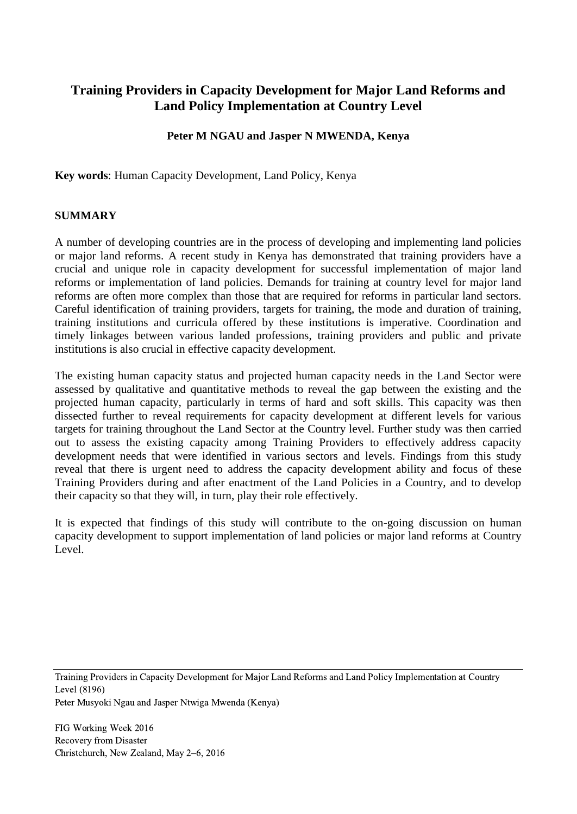# **Training Providers in Capacity Development for Major Land Reforms and Land Policy Implementation at Country Level**

## **Peter M NGAU and Jasper N MWENDA, Kenya**

**Key words**: Human Capacity Development, Land Policy, Kenya

#### **SUMMARY**

A number of developing countries are in the process of developing and implementing land policies or major land reforms. A recent study in Kenya has demonstrated that training providers have a crucial and unique role in capacity development for successful implementation of major land reforms or implementation of land policies. Demands for training at country level for major land reforms are often more complex than those that are required for reforms in particular land sectors. Careful identification of training providers, targets for training, the mode and duration of training, training institutions and curricula offered by these institutions is imperative. Coordination and timely linkages between various landed professions, training providers and public and private institutions is also crucial in effective capacity development.

The existing human capacity status and projected human capacity needs in the Land Sector were assessed by qualitative and quantitative methods to reveal the gap between the existing and the projected human capacity, particularly in terms of hard and soft skills. This capacity was then dissected further to reveal requirements for capacity development at different levels for various targets for training throughout the Land Sector at the Country level. Further study was then carried out to assess the existing capacity among Training Providers to effectively address capacity development needs that were identified in various sectors and levels. Findings from this study reveal that there is urgent need to address the capacity development ability and focus of these Training Providers during and after enactment of the Land Policies in a Country, and to develop their capacity so that they will, in turn, play their role effectively.

It is expected that findings of this study will contribute to the on-going discussion on human capacity development to support implementation of land policies or major land reforms at Country Level.

Training Providers in Capacity Development for Major Land Reforms and Land Policy Implementation at Country Level (8196)

Peter Musyoki Ngau and Jasper Ntwiga Mwenda (Kenya)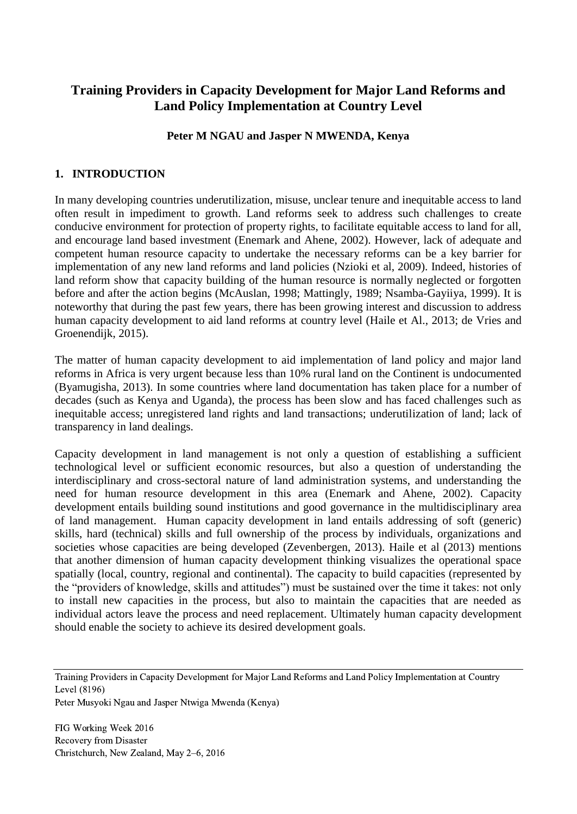# **Training Providers in Capacity Development for Major Land Reforms and Land Policy Implementation at Country Level**

## **Peter M NGAU and Jasper N MWENDA, Kenya**

### **1. INTRODUCTION**

In many developing countries underutilization, misuse, unclear tenure and inequitable access to land often result in impediment to growth. Land reforms seek to address such challenges to create conducive environment for protection of property rights, to facilitate equitable access to land for all, and encourage land based investment (Enemark and Ahene, 2002). However, lack of adequate and competent human resource capacity to undertake the necessary reforms can be a key barrier for implementation of any new land reforms and land policies (Nzioki et al, 2009). Indeed, histories of land reform show that capacity building of the human resource is normally neglected or forgotten before and after the action begins (McAuslan, 1998; Mattingly, 1989; Nsamba-Gayiiya, 1999). It is noteworthy that during the past few years, there has been growing interest and discussion to address human capacity development to aid land reforms at country level (Haile et Al., 2013; de Vries and Groenendijk, 2015).

The matter of human capacity development to aid implementation of land policy and major land reforms in Africa is very urgent because less than 10% rural land on the Continent is undocumented (Byamugisha, 2013). In some countries where land documentation has taken place for a number of decades (such as Kenya and Uganda), the process has been slow and has faced challenges such as inequitable access; unregistered land rights and land transactions; underutilization of land; lack of transparency in land dealings.

Capacity development in land management is not only a question of establishing a sufficient technological level or sufficient economic resources, but also a question of understanding the interdisciplinary and cross-sectoral nature of land administration systems, and understanding the need for human resource development in this area (Enemark and Ahene, 2002). Capacity development entails building sound institutions and good governance in the multidisciplinary area of land management. Human capacity development in land entails addressing of soft (generic) skills, hard (technical) skills and full ownership of the process by individuals, organizations and societies whose capacities are being developed (Zevenbergen, 2013). Haile et al (2013) mentions that another dimension of human capacity development thinking visualizes the operational space spatially (local, country, regional and continental). The capacity to build capacities (represented by the "providers of knowledge, skills and attitudes") must be sustained over the time it takes: not only to install new capacities in the process, but also to maintain the capacities that are needed as individual actors leave the process and need replacement. Ultimately human capacity development should enable the society to achieve its desired development goals.

Training Providers in Capacity Development for Major Land Reforms and Land Policy Implementation at Country Level (8196)

Peter Musyoki Ngau and Jasper Ntwiga Mwenda (Kenya)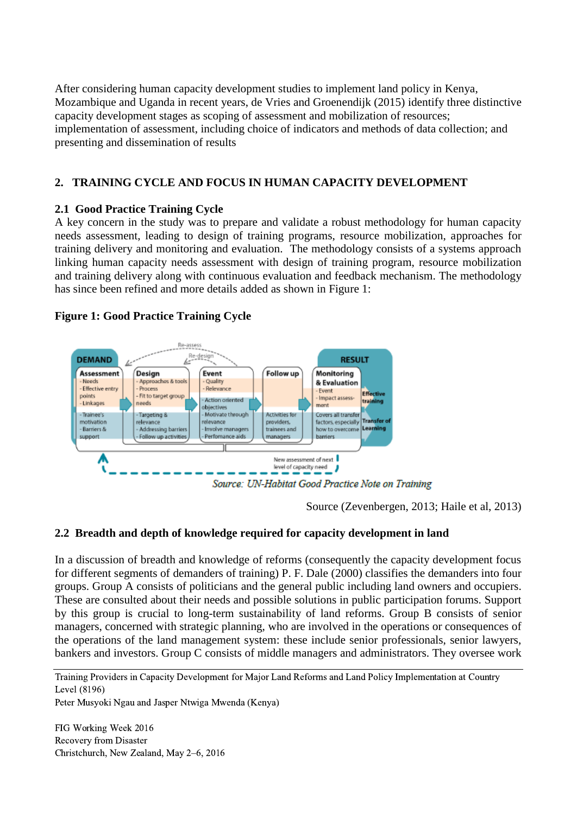After considering human capacity development studies to implement land policy in Kenya, Mozambique and Uganda in recent years, de Vries and Groenendijk (2015) identify three distinctive capacity development stages as scoping of assessment and mobilization of resources; implementation of assessment, including choice of indicators and methods of data collection; and presenting and dissemination of results

# **2. TRAINING CYCLE AND FOCUS IN HUMAN CAPACITY DEVELOPMENT**

### **2.1 Good Practice Training Cycle**

A key concern in the study was to prepare and validate a robust methodology for human capacity needs assessment, leading to design of training programs, resource mobilization, approaches for training delivery and monitoring and evaluation. The methodology consists of a systems approach linking human capacity needs assessment with design of training program, resource mobilization and training delivery along with continuous evaluation and feedback mechanism. The methodology has since been refined and more details added as shown in Figure 1:

## **Figure 1: Good Practice Training Cycle**



Source (Zevenbergen, 2013; Haile et al, 2013)

### **2.2 Breadth and depth of knowledge required for capacity development in land**

In a discussion of breadth and knowledge of reforms (consequently the capacity development focus for different segments of demanders of training) P. F. Dale (2000) classifies the demanders into four groups. Group A consists of politicians and the general public including land owners and occupiers. These are consulted about their needs and possible solutions in public participation forums. Support by this group is crucial to long-term sustainability of land reforms. Group B consists of senior managers, concerned with strategic planning, who are involved in the operations or consequences of the operations of the land management system: these include senior professionals, senior lawyers, bankers and investors. Group C consists of middle managers and administrators. They oversee work

Training Providers in Capacity Development for Major Land Reforms and Land Policy Implementation at Country Level (8196)

Peter Musyoki Ngau and Jasper Ntwiga Mwenda (Kenya)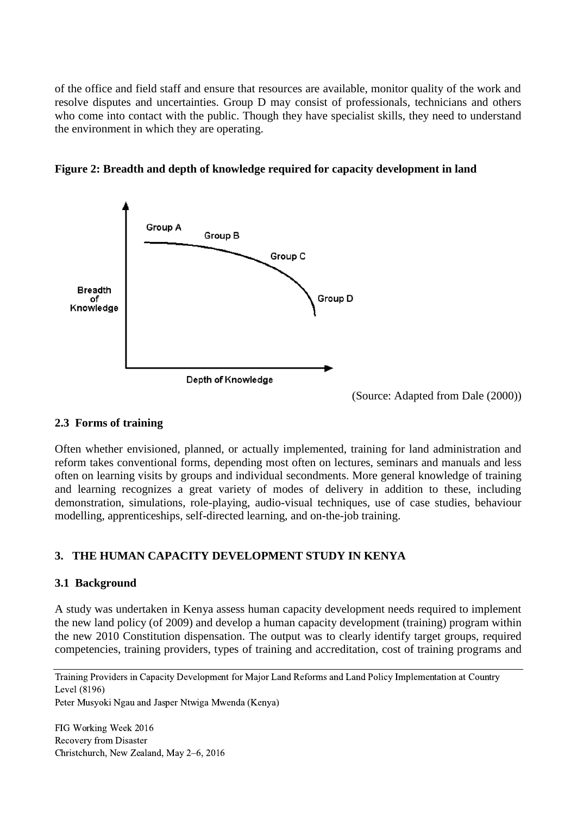of the office and field staff and ensure that resources are available, monitor quality of the work and resolve disputes and uncertainties. Group D may consist of professionals, technicians and others who come into contact with the public. Though they have specialist skills, they need to understand the environment in which they are operating.





(Source: Adapted from Dale (2000))

### **2.3 Forms of training**

Often whether envisioned, planned, or actually implemented, training for land administration and reform takes conventional forms, depending most often on lectures, seminars and manuals and less often on learning visits by groups and individual secondments. More general knowledge of training and learning recognizes a great variety of modes of delivery in addition to these, including demonstration, simulations, role-playing, audio-visual techniques, use of case studies, behaviour modelling, apprenticeships, self-directed learning, and on-the-job training.

# **3. THE HUMAN CAPACITY DEVELOPMENT STUDY IN KENYA**

### **3.1 Background**

A study was undertaken in Kenya assess human capacity development needs required to implement the new land policy (of 2009) and develop a human capacity development (training) program within the new 2010 Constitution dispensation. The output was to clearly identify target groups, required competencies, training providers, types of training and accreditation, cost of training programs and

Training Providers in Capacity Development for Major Land Reforms and Land Policy Implementation at Country Level (8196)

Peter Musyoki Ngau and Jasper Ntwiga Mwenda (Kenya)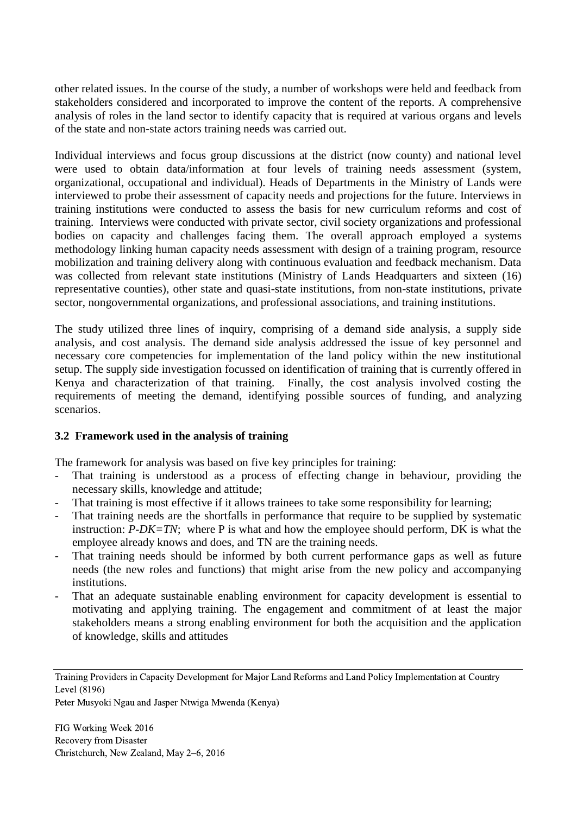other related issues. In the course of the study, a number of workshops were held and feedback from stakeholders considered and incorporated to improve the content of the reports. A comprehensive analysis of roles in the land sector to identify capacity that is required at various organs and levels of the state and non-state actors training needs was carried out.

Individual interviews and focus group discussions at the district (now county) and national level were used to obtain data/information at four levels of training needs assessment (system, organizational, occupational and individual). Heads of Departments in the Ministry of Lands were interviewed to probe their assessment of capacity needs and projections for the future. Interviews in training institutions were conducted to assess the basis for new curriculum reforms and cost of training. Interviews were conducted with private sector, civil society organizations and professional bodies on capacity and challenges facing them. The overall approach employed a systems methodology linking human capacity needs assessment with design of a training program, resource mobilization and training delivery along with continuous evaluation and feedback mechanism. Data was collected from relevant state institutions (Ministry of Lands Headquarters and sixteen (16) representative counties), other state and quasi-state institutions, from non-state institutions, private sector, nongovernmental organizations, and professional associations, and training institutions.

The study utilized three lines of inquiry, comprising of a demand side analysis, a supply side analysis, and cost analysis. The demand side analysis addressed the issue of key personnel and necessary core competencies for implementation of the land policy within the new institutional setup. The supply side investigation focussed on identification of training that is currently offered in Kenya and characterization of that training. Finally, the cost analysis involved costing the requirements of meeting the demand, identifying possible sources of funding, and analyzing scenarios.

### **3.2 Framework used in the analysis of training**

The framework for analysis was based on five key principles for training:

- That training is understood as a process of effecting change in behaviour, providing the necessary skills, knowledge and attitude;
- That training is most effective if it allows trainees to take some responsibility for learning;
- That training needs are the shortfalls in performance that require to be supplied by systematic instruction: *P-DK=TN*; where P is what and how the employee should perform, DK is what the employee already knows and does, and TN are the training needs.
- That training needs should be informed by both current performance gaps as well as future needs (the new roles and functions) that might arise from the new policy and accompanying institutions.
- That an adequate sustainable enabling environment for capacity development is essential to motivating and applying training. The engagement and commitment of at least the major stakeholders means a strong enabling environment for both the acquisition and the application of knowledge, skills and attitudes

Peter Musyoki Ngau and Jasper Ntwiga Mwenda (Kenya)

Training Providers in Capacity Development for Major Land Reforms and Land Policy Implementation at Country Level (8196)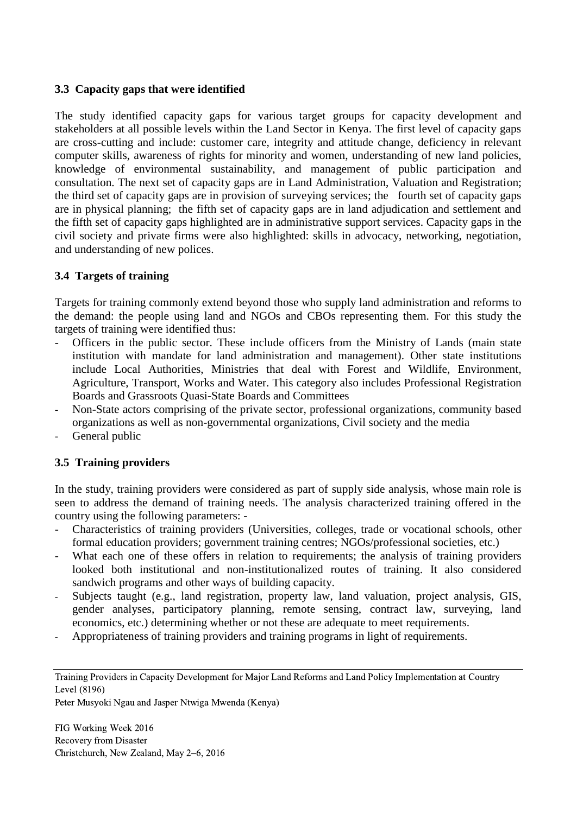#### **3.3 Capacity gaps that were identified**

The study identified capacity gaps for various target groups for capacity development and stakeholders at all possible levels within the Land Sector in Kenya. The first level of capacity gaps are cross-cutting and include: customer care, integrity and attitude change, deficiency in relevant computer skills, awareness of rights for minority and women, understanding of new land policies, knowledge of environmental sustainability, and management of public participation and consultation. The next set of capacity gaps are in Land Administration, Valuation and Registration; the third set of capacity gaps are in provision of surveying services; the fourth set of capacity gaps are in physical planning; the fifth set of capacity gaps are in land adjudication and settlement and the fifth set of capacity gaps highlighted are in administrative support services. Capacity gaps in the civil society and private firms were also highlighted: skills in advocacy, networking, negotiation, and understanding of new polices.

### **3.4 Targets of training**

Targets for training commonly extend beyond those who supply land administration and reforms to the demand: the people using land and NGOs and CBOs representing them. For this study the targets of training were identified thus:

- Officers in the public sector. These include officers from the Ministry of Lands (main state institution with mandate for land administration and management). Other state institutions include Local Authorities, Ministries that deal with Forest and Wildlife, Environment, Agriculture, Transport, Works and Water. This category also includes Professional Registration Boards and Grassroots Quasi-State Boards and Committees
- Non-State actors comprising of the private sector, professional organizations, community based organizations as well as non-governmental organizations, Civil society and the media
- General public

### **3.5 Training providers**

In the study, training providers were considered as part of supply side analysis, whose main role is seen to address the demand of training needs. The analysis characterized training offered in the country using the following parameters: -

- Characteristics of training providers (Universities, colleges, trade or vocational schools, other formal education providers; government training centres; NGOs/professional societies, etc.)
- What each one of these offers in relation to requirements; the analysis of training providers looked both institutional and non-institutionalized routes of training. It also considered sandwich programs and other ways of building capacity.
- Subjects taught (e.g., land registration, property law, land valuation, project analysis, GIS, gender analyses, participatory planning, remote sensing, contract law, surveying, land economics, etc.) determining whether or not these are adequate to meet requirements.
- Appropriateness of training providers and training programs in light of requirements.

Training Providers in Capacity Development for Major Land Reforms and Land Policy Implementation at Country Level (8196)

Peter Musyoki Ngau and Jasper Ntwiga Mwenda (Kenya)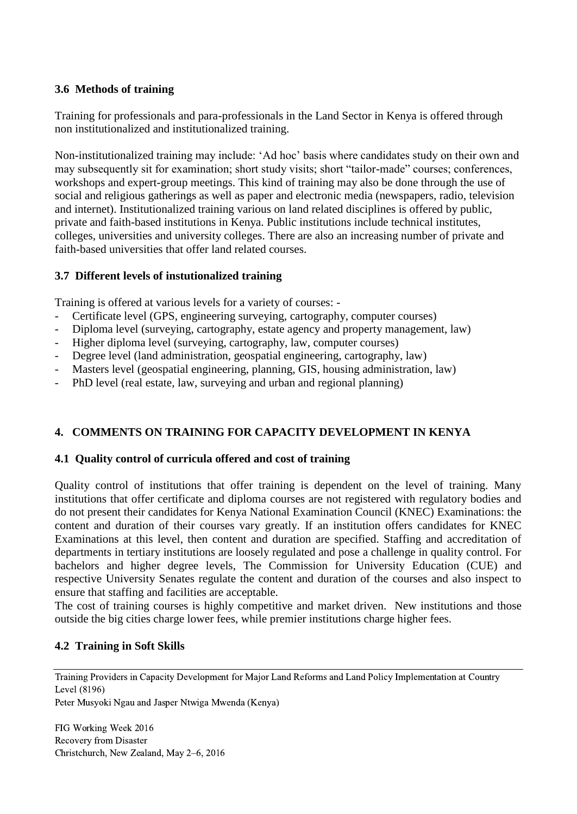## **3.6 Methods of training**

Training for professionals and para-professionals in the Land Sector in Kenya is offered through non institutionalized and institutionalized training.

Non-institutionalized training may include: 'Ad hoc' basis where candidates study on their own and may subsequently sit for examination; short study visits; short "tailor-made" courses; conferences, workshops and expert-group meetings. This kind of training may also be done through the use of social and religious gatherings as well as paper and electronic media (newspapers, radio, television and internet). Institutionalized training various on land related disciplines is offered by public, private and faith-based institutions in Kenya. Public institutions include technical institutes, colleges, universities and university colleges. There are also an increasing number of private and faith-based universities that offer land related courses.

## **3.7 Different levels of instutionalized training**

Training is offered at various levels for a variety of courses: -

- Certificate level (GPS, engineering surveying, cartography, computer courses)
- Diploma level (surveying, cartography, estate agency and property management, law)
- Higher diploma level (surveying, cartography, law, computer courses)
- Degree level (land administration, geospatial engineering, cartography, law)
- Masters level (geospatial engineering, planning, GIS, housing administration, law)
- PhD level (real estate, law, surveying and urban and regional planning)

# **4. COMMENTS ON TRAINING FOR CAPACITY DEVELOPMENT IN KENYA**

### **4.1 Quality control of curricula offered and cost of training**

Quality control of institutions that offer training is dependent on the level of training. Many institutions that offer certificate and diploma courses are not registered with regulatory bodies and do not present their candidates for Kenya National Examination Council (KNEC) Examinations: the content and duration of their courses vary greatly. If an institution offers candidates for KNEC Examinations at this level, then content and duration are specified. Staffing and accreditation of departments in tertiary institutions are loosely regulated and pose a challenge in quality control. For bachelors and higher degree levels, The Commission for University Education (CUE) and respective University Senates regulate the content and duration of the courses and also inspect to ensure that staffing and facilities are acceptable.

The cost of training courses is highly competitive and market driven. New institutions and those outside the big cities charge lower fees, while premier institutions charge higher fees.

# **4.2 Training in Soft Skills**

Training Providers in Capacity Development for Major Land Reforms and Land Policy Implementation at Country Level (8196)

Peter Musyoki Ngau and Jasper Ntwiga Mwenda (Kenya)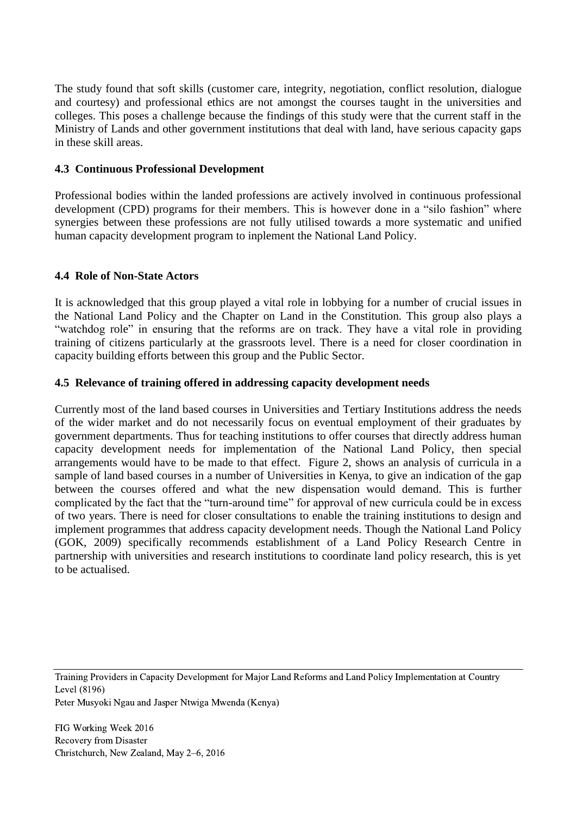The study found that soft skills (customer care, integrity, negotiation, conflict resolution, dialogue and courtesy) and professional ethics are not amongst the courses taught in the universities and colleges. This poses a challenge because the findings of this study were that the current staff in the Ministry of Lands and other government institutions that deal with land, have serious capacity gaps in these skill areas.

#### **4.3 Continuous Professional Development**

Professional bodies within the landed professions are actively involved in continuous professional development (CPD) programs for their members. This is however done in a "silo fashion" where synergies between these professions are not fully utilised towards a more systematic and unified human capacity development program to inplement the National Land Policy.

#### **4.4 Role of Non-State Actors**

It is acknowledged that this group played a vital role in lobbying for a number of crucial issues in the National Land Policy and the Chapter on Land in the Constitution. This group also plays a "watchdog role" in ensuring that the reforms are on track. They have a vital role in providing training of citizens particularly at the grassroots level. There is a need for closer coordination in capacity building efforts between this group and the Public Sector.

#### **4.5 Relevance of training offered in addressing capacity development needs**

Currently most of the land based courses in Universities and Tertiary Institutions address the needs of the wider market and do not necessarily focus on eventual employment of their graduates by government departments. Thus for teaching institutions to offer courses that directly address human capacity development needs for implementation of the National Land Policy, then special arrangements would have to be made to that effect. Figure 2, shows an analysis of curricula in a sample of land based courses in a number of Universities in Kenya, to give an indication of the gap between the courses offered and what the new dispensation would demand. This is further complicated by the fact that the "turn-around time" for approval of new curricula could be in excess of two years. There is need for closer consultations to enable the training institutions to design and implement programmes that address capacity development needs. Though the National Land Policy (GOK, 2009) specifically recommends establishment of a Land Policy Research Centre in partnership with universities and research institutions to coordinate land policy research, this is yet to be actualised.

Training Providers in Capacity Development for Major Land Reforms and Land Policy Implementation at Country Level (8196)

Peter Musyoki Ngau and Jasper Ntwiga Mwenda (Kenya)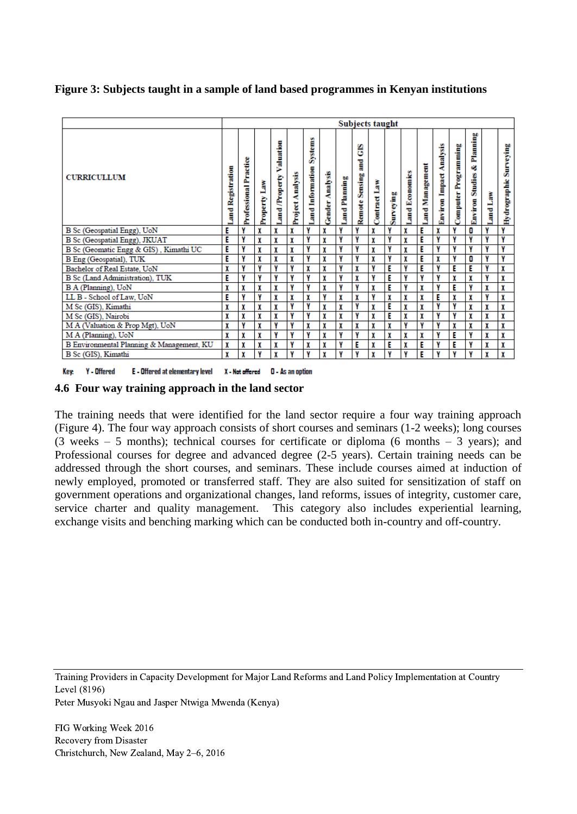**Figure 3: Subjects taught in a sample of land based programmes in Kenyan institutions**

|                                           | Subjects taught  |                              |              |                            |                  |                                   |                 |               |                                   |              |           |               |                |                                |                             |                                          |          |                        |
|-------------------------------------------|------------------|------------------------------|--------------|----------------------------|------------------|-----------------------------------|-----------------|---------------|-----------------------------------|--------------|-----------|---------------|----------------|--------------------------------|-----------------------------|------------------------------------------|----------|------------------------|
| <b>CURRICULLUM</b>                        | and Registration | <b>Professional Practice</b> | Property Law | Valuation<br>Land/Property | Project Analysis | <b>Systems</b><br>and Information | Gender Analysis | Land Planning | မြိ<br>ă<br><b>Remote Sensing</b> | Contract Law | Surveying | and Economics | and Management | <b>Environ Impact Analysis</b> | <b>Computer Programming</b> | Planning<br>ċ,<br><b>Environ Studies</b> | Land Law | Hydrographic Surveying |
| B Sc (Geospatial Engg), UoN               | E                | γ                            | X            | X                          | X                | Y                                 | X               | Y             | Y                                 | X            | γ         | X             | E              | X                              | Y                           | 0                                        | Y        | Y                      |
| B Sc (Geospatial Engg), JKUAT             | E                | γ                            | X            | X                          | X                | v                                 | X               | γ             | v                                 | X            | Y         | X             | E              | Y                              | v                           | Y                                        | Y        | v                      |
| B Sc (Geomatic Engg & GIS), Kimathi UC    | Е                | Y                            | X            | X                          | X                | ۷                                 | X               | γ             | Y                                 | X            | Y         | X             | E              | γ                              | v                           | Y                                        | Y        | v                      |
| B Eng (Geospatial), TUK                   | E                | Y                            | X            | X                          | X                | v                                 | X               | γ             | v                                 | X            | ۷         | X             | E              | X                              | v                           | 0                                        | Y        | v                      |
| Bachelor of Real Estate, UoN              | X                | γ                            | v            | Y                          | Y                | X                                 | X               | ٧             | X                                 | Y            | E         | ٧             | E              | Y                              | E                           | E                                        | Y        | X                      |
| B Sc (Land Administration), TUK           | E                | γ                            | v            | γ                          | γ                | ٧                                 | X               | γ             | χ                                 | Y            | E         | γ             | γ              | Y                              | X                           | X                                        | Y        | X                      |
| B A (Planning), UoN                       | x                | X                            | X            | X                          | Y                | v                                 | X               | γ             | V                                 | X            | E         | Y             | X              | Y                              | E                           | Y                                        | X        | X                      |
| LL B - School of Law, UoN                 | E                | γ                            | v            | X                          | X                | X                                 | Y               | X             | X                                 | Y            | X         | X             | X              | E                              | X                           | X                                        | Y        | X                      |
| M Sc (GIS), Kimathi                       | X                | X                            | X            | X                          | Y                | Y                                 | X               | X             | Y                                 | X            | E         | X             | X              | γ                              | Y                           | X                                        | X        | X                      |
| M Sc (GIS), Nairobi                       | X                | X                            | X            | X                          | Y                | ٧                                 | X               | X             | Y                                 | X            | E         | X             | X              | Y                              | v                           | X                                        | X        | X                      |
| M A (Valuation & Prop Mgt), UoN           | X                | γ                            | X            | γ                          | Y                | X                                 | X               | X             | X                                 | X            | X         | Y             | γ              | γ                              | X                           | X                                        | X        | X                      |
| M A (Planning), UoN                       | x                | X                            |              | Y                          | Y                | v                                 | X               | γ             | Y                                 | X            | X         | X             | X              | Y                              | E                           | Y                                        | X        | X                      |
| B Environmental Planning & Management, KU | X                | X                            |              | X                          | Y                | X                                 | X               | ٧             | E                                 | X            | E         | X             | E              | Y                              | E                           | Y                                        | X        | X                      |
| B Sc (GIS), Kimathi                       | X                | X                            | v            | X                          | v                | v                                 | X               | v             | v                                 | X            | v         | ٧             | E              | v                              | v                           | Y                                        | X        | X                      |

Key: Y - Offered E - Offered at elementary level X - Not offered D - As an option

**4.6 Four way training approach in the land sector**

The training needs that were identified for the land sector require a four way training approach (Figure 4). The four way approach consists of short courses and seminars (1-2 weeks); long courses (3 weeks – 5 months); technical courses for certificate or diploma (6 months – 3 years); and Professional courses for degree and advanced degree (2-5 years). Certain training needs can be addressed through the short courses, and seminars. These include courses aimed at induction of newly employed, promoted or transferred staff. They are also suited for sensitization of staff on government operations and organizational changes, land reforms, issues of integrity, customer care, service charter and quality management. This category also includes experiential learning, exchange visits and benching marking which can be conducted both in-country and off-country.

Training Providers in Capacity Development for Major Land Reforms and Land Policy Implementation at Country Level (8196)

Peter Musyoki Ngau and Jasper Ntwiga Mwenda (Kenya)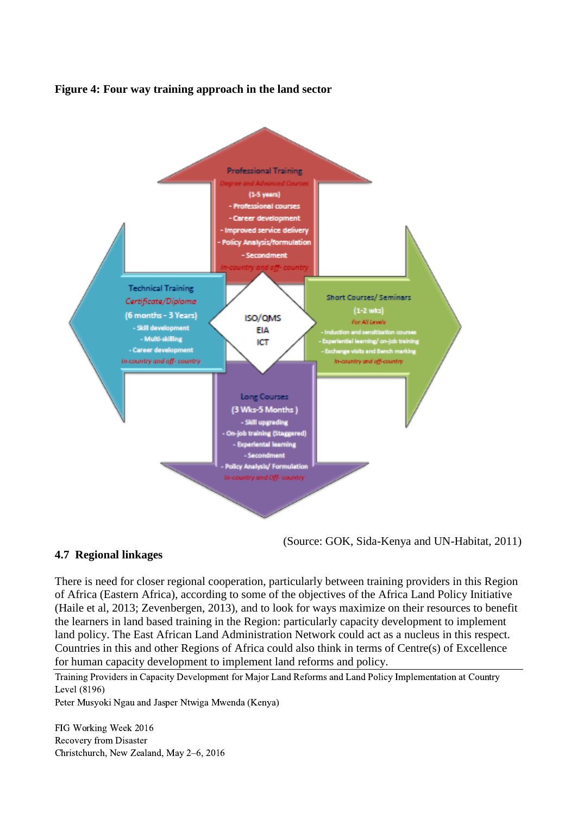



(Source: GOK, Sida-Kenya and UN-Habitat, 2011)

### **4.7 Regional linkages**

There is need for closer regional cooperation, particularly between training providers in this Region of Africa (Eastern Africa), according to some of the objectives of the Africa Land Policy Initiative (Haile et al, 2013; Zevenbergen, 2013), and to look for ways maximize on their resources to benefit the learners in land based training in the Region: particularly capacity development to implement land policy. The East African Land Administration Network could act as a nucleus in this respect. Countries in this and other Regions of Africa could also think in terms of Centre(s) of Excellence for human capacity development to implement land reforms and policy.

Training Providers in Capacity Development for Major Land Reforms and Land Policy Implementation at Country Level (8196)

Peter Musyoki Ngau and Jasper Ntwiga Mwenda (Kenya)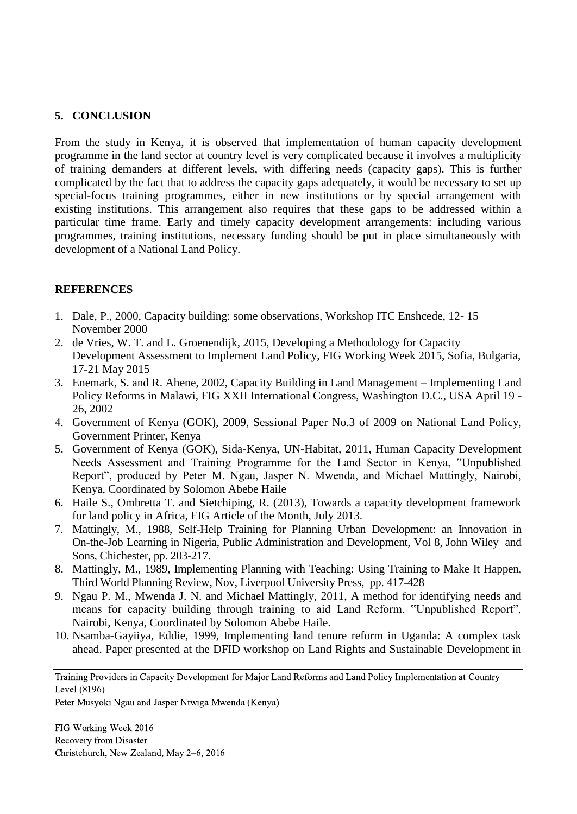# **5. CONCLUSION**

From the study in Kenya, it is observed that implementation of human capacity development programme in the land sector at country level is very complicated because it involves a multiplicity of training demanders at different levels, with differing needs (capacity gaps). This is further complicated by the fact that to address the capacity gaps adequately, it would be necessary to set up special-focus training programmes, either in new institutions or by special arrangement with existing institutions. This arrangement also requires that these gaps to be addressed within a particular time frame. Early and timely capacity development arrangements: including various programmes, training institutions, necessary funding should be put in place simultaneously with development of a National Land Policy.

## **REFERENCES**

- 1. Dale, P., 2000, Capacity building: some observations, Workshop ITC Enshcede, 12- 15 November 2000
- 2. de Vries, W. T. and L. Groenendijk, 2015, Developing a Methodology for Capacity Development Assessment to Implement Land Policy, FIG Working Week 2015, Sofia, Bulgaria, 17-21 May 2015
- 3. Enemark, S. and R. Ahene, 2002, Capacity Building in Land Management Implementing Land Policy Reforms in Malawi, FIG XXII International Congress, Washington D.C., USA April 19 - 26, 2002
- 4. Government of Kenya (GOK), 2009, Sessional Paper No.3 of 2009 on National Land Policy, Government Printer, Kenya
- 5. Government of Kenya (GOK), Sida-Kenya, UN-Habitat, 2011, Human Capacity Development Needs Assessment and Training Programme for the Land Sector in Kenya, "Unpublished Report", produced by Peter M. Ngau, Jasper N. Mwenda, and Michael Mattingly, Nairobi, Kenya, Coordinated by Solomon Abebe Haile
- 6. Haile S., Ombretta T. and Sietchiping, R. (2013), Towards a capacity development framework for land policy in Africa, FIG Article of the Month, July 2013.
- 7. Mattingly, M., 1988, Self-Help Training for Planning Urban Development: an Innovation in On-the-Job Learning in Nigeria, Public Administration and Development, Vol 8, John Wiley and Sons, Chichester, pp. 203-217.
- 8. Mattingly, M., 1989, Implementing Planning with Teaching: Using Training to Make It Happen, Third World Planning Review, Nov, Liverpool University Press, pp. 417-428
- 9. Ngau P. M., Mwenda J. N. and Michael Mattingly, 2011, A method for identifying needs and means for capacity building through training to aid Land Reform, "Unpublished Report", Nairobi, Kenya, Coordinated by Solomon Abebe Haile.
- 10. Nsamba-Gayiiya, Eddie, 1999, Implementing land tenure reform in Uganda: A complex task ahead. Paper presented at the DFID workshop on Land Rights and Sustainable Development in

Training Providers in Capacity Development for Major Land Reforms and Land Policy Implementation at Country Level (8196)

Peter Musyoki Ngau and Jasper Ntwiga Mwenda (Kenya)